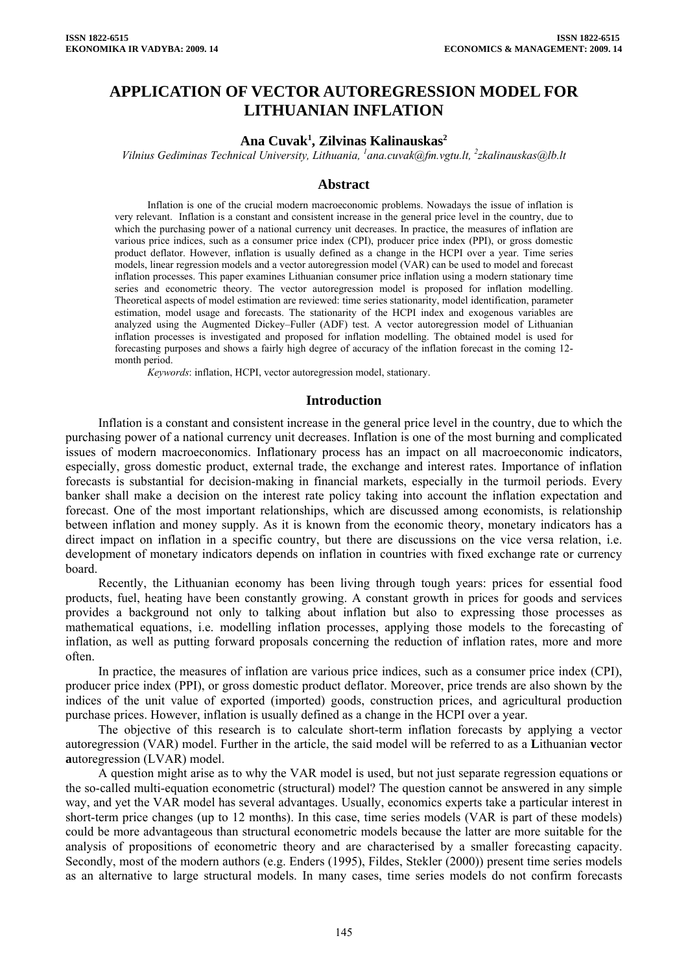# **APPLICATION OF VECTOR AUTOREGRESSION MODEL FOR LITHUANIAN INFLATION**

## **Ana Cuvak1 , Zilvinas Kalinauskas2**

*Vilnius Gediminas Technical University, Lithuania, <sup>1</sup> ana.cuvak@fm.vgtu.lt, 2 zkalinauskas@lb.lt* 

#### **Abstract**

Inflation is one of the crucial modern macroeconomic problems. Nowadays the issue of inflation is very relevant. Inflation is a constant and consistent increase in the general price level in the country, due to which the purchasing power of a national currency unit decreases. In practice, the measures of inflation are various price indices, such as a consumer price index (CPI), producer price index (PPI), or gross domestic product deflator. However, inflation is usually defined as a change in the HCPI over a year. Time series models, linear regression models and a vector autoregression model (VAR) can be used to model and forecast inflation processes. This paper examines Lithuanian consumer price inflation using a modern stationary time series and econometric theory. The vector autoregression model is proposed for inflation modelling. Theoretical aspects of model estimation are reviewed: time series stationarity, model identification, parameter estimation, model usage and forecasts. The stationarity of the HCPI index and exogenous variables are analyzed using the Augmented Dickey–Fuller (ADF) test. A vector autoregression model of Lithuanian inflation processes is investigated and proposed for inflation modelling. The obtained model is used for forecasting purposes and shows a fairly high degree of accuracy of the inflation forecast in the coming 12 month period.

*Keywords*: inflation, HCPI, vector autoregression model, stationary.

#### **Introduction**

Inflation is a constant and consistent increase in the general price level in the country, due to which the purchasing power of a national currency unit decreases. Inflation is one of the most burning and complicated issues of modern macroeconomics. Inflationary process has an impact on all macroeconomic indicators, especially, gross domestic product, external trade, the exchange and interest rates. Importance of inflation forecasts is substantial for decision-making in financial markets, especially in the turmoil periods. Every banker shall make a decision on the interest rate policy taking into account the inflation expectation and forecast. One of the most important relationships, which are discussed among economists, is relationship between inflation and money supply. As it is known from the economic theory, monetary indicators has a direct impact on inflation in a specific country, but there are discussions on the vice versa relation, i.e. development of monetary indicators depends on inflation in countries with fixed exchange rate or currency board.

Recently, the Lithuanian economy has been living through tough years: prices for essential food products, fuel, heating have been constantly growing. A constant growth in prices for goods and services provides a background not only to talking about inflation but also to expressing those processes as mathematical equations, i.e. modelling inflation processes, applying those models to the forecasting of inflation, as well as putting forward proposals concerning the reduction of inflation rates, more and more often.

In practice, the measures of inflation are various price indices, such as a consumer price index (CPI), producer price index (PPI), or gross domestic product deflator. Moreover, price trends are also shown by the indices of the unit value of exported (imported) goods, construction prices, and agricultural production purchase prices. However, inflation is usually defined as a change in the HCPI over a year.

The objective of this research is to calculate short-term inflation forecasts by applying a vector autoregression (VAR) model. Further in the article, the said model will be referred to as a **L**ithuanian **v**ector **a**utoregression (LVAR) model.

A question might arise as to why the VAR model is used, but not just separate regression equations or the so-called multi-equation econometric (structural) model? The question cannot be answered in any simple way, and yet the VAR model has several advantages. Usually, economics experts take a particular interest in short-term price changes (up to 12 months). In this case, time series models (VAR is part of these models) could be more advantageous than structural econometric models because the latter are more suitable for the analysis of propositions of econometric theory and are characterised by a smaller forecasting capacity. Secondly, most of the modern authors (e.g. Enders (1995), Fildes, Stekler (2000)) present time series models as an alternative to large structural models. In many cases, time series models do not confirm forecasts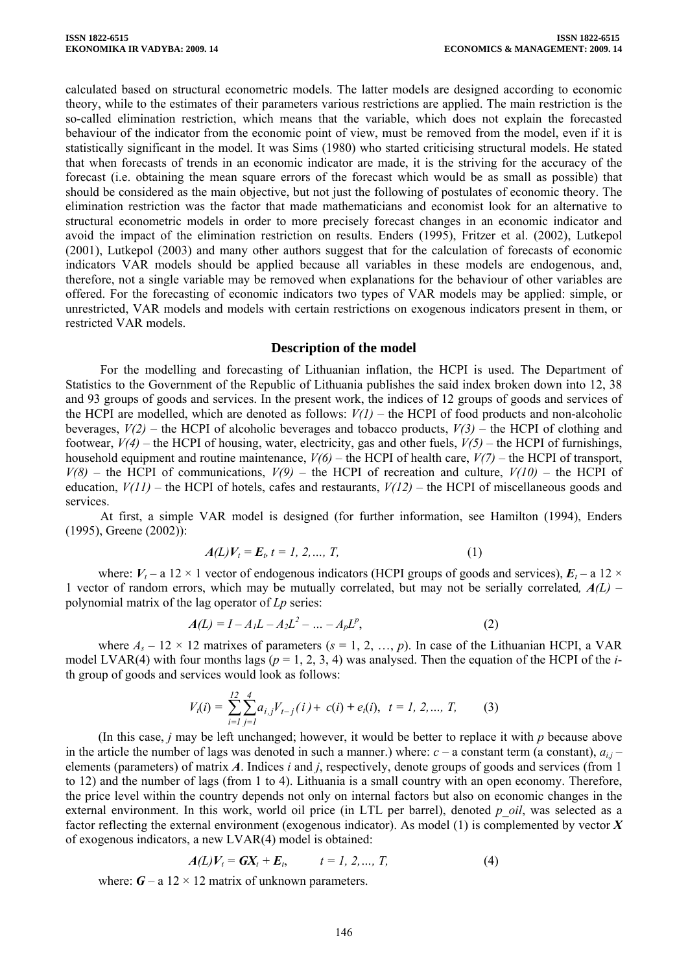calculated based on structural econometric models. The latter models are designed according to economic theory, while to the estimates of their parameters various restrictions are applied. The main restriction is the so-called elimination restriction, which means that the variable, which does not explain the forecasted behaviour of the indicator from the economic point of view, must be removed from the model, even if it is statistically significant in the model. It was Sims (1980) who started criticising structural models. He stated that when forecasts of trends in an economic indicator are made, it is the striving for the accuracy of the forecast (i.e. obtaining the mean square errors of the forecast which would be as small as possible) that should be considered as the main objective, but not just the following of postulates of economic theory. The elimination restriction was the factor that made mathematicians and economist look for an alternative to structural econometric models in order to more precisely forecast changes in an economic indicator and avoid the impact of the elimination restriction on results. Enders (1995), Fritzer et al. (2002), Lutkepol (2001), Lutkepol (2003) and many other authors suggest that for the calculation of forecasts of economic indicators VAR models should be applied because all variables in these models are endogenous, and, therefore, not a single variable may be removed when explanations for the behaviour of other variables are offered. For the forecasting of economic indicators two types of VAR models may be applied: simple, or unrestricted, VAR models and models with certain restrictions on exogenous indicators present in them, or restricted VAR models.

#### **Description of the model**

For the modelling and forecasting of Lithuanian inflation, the HCPI is used. The Department of Statistics to the Government of the Republic of Lithuania publishes the said index broken down into 12, 38 and 93 groups of goods and services. In the present work, the indices of 12 groups of goods and services of the HCPI are modelled, which are denoted as follows:  $V(1)$  – the HCPI of food products and non-alcoholic beverages, *V(2)* – the HCPI of alcoholic beverages and tobacco products, *V(3)* – the HCPI of clothing and footwear, *V(4)* – the HCPI of housing, water, electricity, gas and other fuels, *V(5)* – the HCPI of furnishings, household equipment and routine maintenance, *V(6)* – the HCPI of health care, *V(7)* – the HCPI of transport,  $V(8)$  – the HCPI of communications,  $V(9)$  – the HCPI of recreation and culture,  $V(10)$  – the HCPI of education, *V(11)* – the HCPI of hotels, cafes and restaurants, *V(12)* – the HCPI of miscellaneous goods and services.

At first, a simple VAR model is designed (for further information, see Hamilton (1994), Enders (1995), Greene (2002)):

$$
A(L)V_t = E_b \ t = 1, \ 2, ..., \ T,
$$
 (1)

where:  $V_t$  – a 12 × 1 vector of endogenous indicators (HCPI groups of goods and services),  $E_t$  – a 12 × 1 vector of random errors, which may be mutually correlated, but may not be serially correlated*, A(L)* – polynomial matrix of the lag operator of *Lp* series:

$$
A(L) = I - A_1 L - A_2 L^2 - \dots - A_p L^p,
$$
 (2)

where  $A_s - 12 \times 12$  matrixes of parameters  $(s = 1, 2, ..., p)$ . In case of the Lithuanian HCPI, a VAR model LVAR(4) with four months lags ( $p = 1, 2, 3, 4$ ) was analysed. Then the equation of the HCPI of the *i*th group of goods and services would look as follows:

$$
V_t(i) = \sum_{i=1}^{12} \sum_{j=1}^{4} a_{i,j} V_{t-j}(i) + c(i) + e_t(i), \quad t = 1, 2, ..., T,
$$
 (3)

(In this case, *j* may be left unchanged; however, it would be better to replace it with *p* because above in the article the number of lags was denoted in such a manner.) where:  $c - a$  constant term (a constant),  $a_{ij}$ elements (parameters) of matrix *A*. Indices *i* and *j*, respectively, denote groups of goods and services (from 1 to 12) and the number of lags (from 1 to 4). Lithuania is a small country with an open economy. Therefore, the price level within the country depends not only on internal factors but also on economic changes in the external environment. In this work, world oil price (in LTL per barrel), denoted *p\_oil*, was selected as a factor reflecting the external environment (exogenous indicator). As model (1) is complemented by vector *X* of exogenous indicators, a new LVAR(4) model is obtained:

$$
A(L)V_t = GX_t + E_t, \t t = 1, 2, ..., T,
$$
 (4)

where:  $G - a 12 \times 12$  matrix of unknown parameters.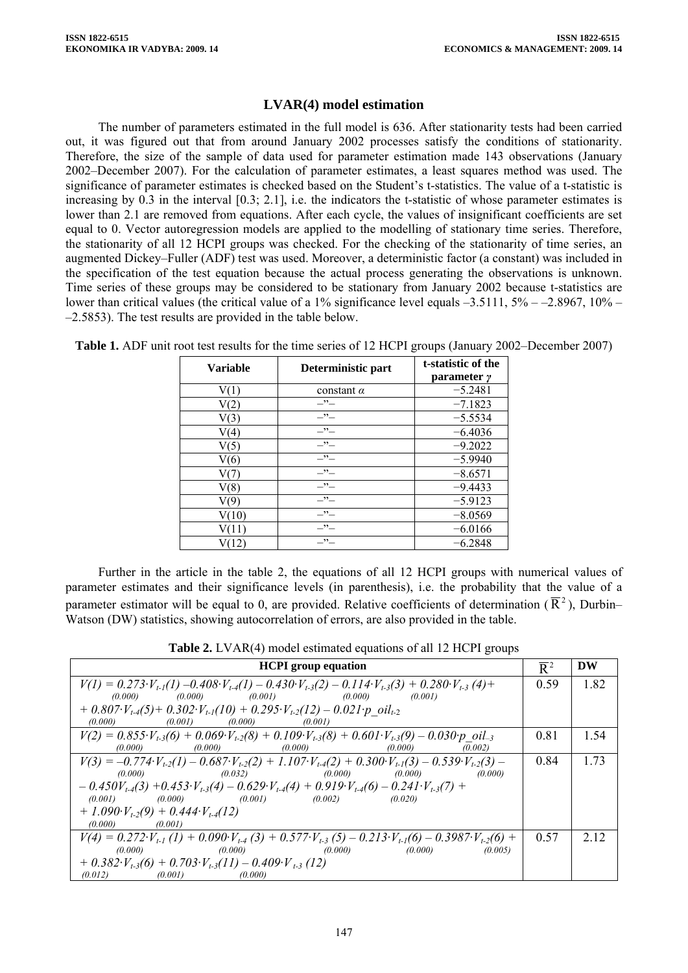## **LVAR(4) model estimation**

The number of parameters estimated in the full model is 636. After stationarity tests had been carried out, it was figured out that from around January 2002 processes satisfy the conditions of stationarity. Therefore, the size of the sample of data used for parameter estimation made 143 observations (January 2002–December 2007). For the calculation of parameter estimates, a least squares method was used. The significance of parameter estimates is checked based on the Student's t-statistics. The value of a t-statistic is increasing by 0.3 in the interval [0.3; 2.1], i.e. the indicators the t-statistic of whose parameter estimates is lower than 2.1 are removed from equations. After each cycle, the values of insignificant coefficients are set equal to 0. Vector autoregression models are applied to the modelling of stationary time series. Therefore, the stationarity of all 12 HCPI groups was checked. For the checking of the stationarity of time series, an augmented Dickey–Fuller (ADF) test was used. Moreover, a deterministic factor (a constant) was included in the specification of the test equation because the actual process generating the observations is unknown. Time series of these groups may be considered to be stationary from January 2002 because t-statistics are lower than critical values (the critical value of a 1% significance level equals  $-3.5111$ ,  $5% -2.8967$ ,  $10% -$ –2.5853). The test results are provided in the table below.

| <b>Variable</b> | Deterministic part | t-statistic of the<br>parameter y |
|-----------------|--------------------|-----------------------------------|
|                 | constant $\alpha$  | $-5.2481$                         |
| 2               | $-$ " $-$          | $-7.1823$                         |
| V <sub>3</sub>  | $-$ " $-$          | $-5.5534$                         |
| V(4`            | $-$ " $-$          | $-6.4036$                         |
| V(5)            | $-$ " $-$          | $-9.2022$                         |
| V(6)            | $-$ " $-$          | $-5.9940$                         |
|                 | $-$ " $-$          | $-8.6571$                         |
| V(8)            | $-$ " $-$          | $-9.4433$                         |
| 70)             | $-$ " $-$          | $-5.9123$                         |
| $10^{\circ}$    | $-$ " $-$          | $-8.0569$                         |
|                 | $-$ " $-$          | $-6.0166$                         |
|                 | $ \cdot$ $-$       | $-6.2848$                         |

**Table 1.** ADF unit root test results for the time series of 12 HCPI groups (January 2002–December 2007)

Further in the article in the table 2, the equations of all 12 HCPI groups with numerical values of parameter estimates and their significance levels (in parenthesis), i.e. the probability that the value of a parameter estimator will be equal to 0, are provided. Relative coefficients of determination ( $\overline{R}^2$ ), Durbin– Watson (DW) statistics, showing autocorrelation of errors, are also provided in the table.

**Table 2.** LVAR(4) model estimated equations of all 12 HCPI groups

| <b>HCPI</b> group equation                                                                                                             |      | DW   |
|----------------------------------------------------------------------------------------------------------------------------------------|------|------|
| $V(I) = 0.273 \cdot V_{t-1}(1) - 0.408 \cdot V_{t-4}(1) - 0.430 \cdot V_{t-3}(2) - 0.114 \cdot V_{t-3}(3) + 0.280 \cdot V_{t-3}(4) +$  | 0.59 | 1.82 |
| $(0.000)$ $(0.000)$ $(0.001)$ $(0.000)$ $(0.001)$                                                                                      |      |      |
| $+$ 0.807 $V_{t,4}(5)$ + 0.302 $V_{t,1}(10)$ + 0.295 $V_{t,2}(12)$ - 0.021 $p$ oil <sub>t-2</sub>                                      |      |      |
| $(0.000)$ $(0.001)$ $(0.000)$ $(0.001)$                                                                                                |      |      |
| $V(2) = 0.855 \cdot V_{t-3}(6) + 0.069 \cdot V_{t-2}(8) + 0.109 \cdot V_{t-3}(8) + 0.601 \cdot V_{t-3}(9) - 0.030 \cdot p$ oil_3       | 0.81 | 1.54 |
| $(0.000)$ $(0.000)$ $(0.000)$ $(0.000)$ $(0.000)$<br>(0.002)                                                                           |      |      |
| $V(3) = -0.774 \cdot V_{1,2}(1) - 0.687 \cdot V_{1,2}(2) + 1.107 \cdot V_{1,4}(2) + 0.300 \cdot V_{1,1}(3) - 0.539 \cdot V_{1,2}(3) -$ | 0.84 | 1.73 |
| $(0.000)$ $(0.032)$ $(0.000)$ $(0.000)$ $(0.000)$ $(0.000)$                                                                            |      |      |
| $-0.450V_{t.4}(3) +0.453V_{t.3}(4) -0.629V_{t.4}(4) +0.919V_{t.4}(6) -0.241V_{t.3}(7) +$                                               |      |      |
| $(0.001)$ $(0.000)$ $(0.001)$ $(0.002)$ $(0.020)$                                                                                      |      |      |
| + 1.090 $V_{t-2}(9)$ + 0.444 $V_{t-4}(12)$                                                                                             |      |      |
| $(0.000)$ $(0.001)$                                                                                                                    |      |      |
| $V(4) = 0.272 \cdot V_{t-1}(1) + 0.090 \cdot V_{t-4}(3) + 0.577 \cdot V_{t-3}(5) - 0.213 \cdot V_{t-1}(6) - 0.3987 \cdot V_{t-2}(6) +$ | 0.57 | 2.12 |
| $(0.000)$ $(0.000)$ $(0.000)$ $(0.000)$ $(0.000)$<br>(0.005)                                                                           |      |      |
| $+$ 0.382 $\cdot V_{t-3}(6)$ + 0.703 $\cdot V_{t-3}(11)$ - 0.409 $\cdot V_{t-3}(12)$                                                   |      |      |
| (0.000)<br>(0.012)<br>(0.001)                                                                                                          |      |      |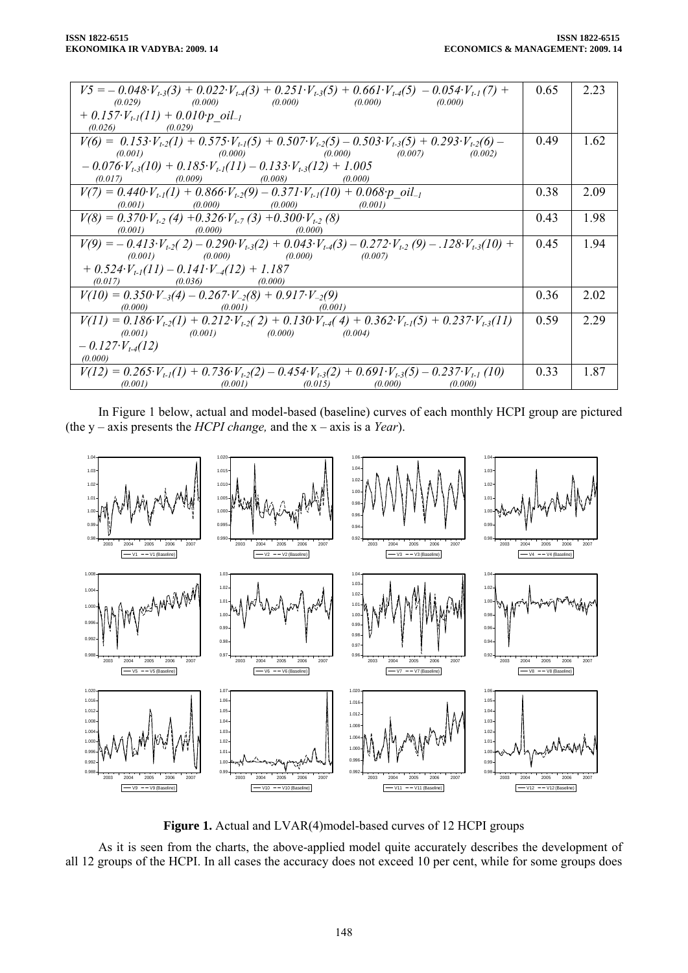| $V5 = -0.048 \cdot V_{t-3}(3) + 0.022 \cdot V_{t-4}(3) + 0.251 \cdot V_{t-3}(5) + 0.661 \cdot V_{t-4}(5) - 0.054 \cdot V_{t-1}(7) +$   | 0.65 | 2.23 |
|----------------------------------------------------------------------------------------------------------------------------------------|------|------|
|                                                                                                                                        |      |      |
| $(0.029)$ $(0.000)$ $(0.000)$ $(0.000)$ $(0.000)$ $(0.000)$                                                                            |      |      |
| $+$ 0.157 $\cdot V_{t-l}(11)$ + 0.010 $\cdot p$ oil <sub>-1</sub>                                                                      |      |      |
| $(0.026)$ $(0.029)$                                                                                                                    |      |      |
| $V(6) = 0.153 \cdot V_{t-2}(1) + 0.575 \cdot V_{t-1}(5) + 0.507 \cdot V_{t-2}(5) - 0.503 \cdot V_{t-3}(5) + 0.293 \cdot V_{t-2}(6) -$  | 0.49 | 1.62 |
| $(0.001)$ $(0.000)$ $(0.000)$ $(0.007)$ $(0.002)$                                                                                      |      |      |
| $-0.076 \cdot V_{t-3}(10) + 0.185 \cdot V_{t-1}(11) - 0.133 \cdot V_{t-3}(12) + 1.005$                                                 |      |      |
|                                                                                                                                        |      |      |
| $(0.017)$ $(0.009)$ $(0.008)$ $(0.000)$                                                                                                |      |      |
| $V(7) = 0.440 \cdot V_{t-1}(1) + 0.866 \cdot V_{t-2}(9) - 0.371 \cdot V_{t-1}(10) + 0.068 \cdot p$ oil_                                | 0.38 | 2.09 |
| $(0.001)$ $(0.000)$ $(0.000)$ $(0.001)$                                                                                                |      |      |
| $V(8) = 0.370 \cdot V_{t-2}$ (4) + 0.326 $V_{t-7}$ (3) + 0.300 $V_{t-2}$ (8)                                                           | 0.43 | 1.98 |
| $(0.001)$ $(0.000)$ $(0.000)$                                                                                                          |      |      |
|                                                                                                                                        |      |      |
| $V(9) = -0.413 \cdot V_{t-2}(2) - 0.290 \cdot V_{t-3}(2) + 0.043 \cdot V_{t-4}(3) - 0.272 \cdot V_{t-2}(9) - 0.28 \cdot V_{t-3}(10) +$ | 0.45 | 1.94 |
| $(0.001)$ $(0.000)$ $(0.000)$ $(0.007)$                                                                                                |      |      |
| $+$ 0.524 $V_{t-1}(11) - 0.141 \cdot V_{-4}(12) + 1.187$                                                                               |      |      |
| $(0.036)$ $(0.000)$<br>(0.017)                                                                                                         |      |      |
| $V(10) = 0.350 \cdot V_{-3}(4) - 0.267 \cdot V_{-2}(8) + 0.917 \cdot V_{-2}(9)$                                                        | 0.36 | 2.02 |
| $(0.001)$ $(0.001)$<br>(0.000)                                                                                                         |      |      |
| $V(11) = 0.186 \cdot V_{t-2}(1) + 0.212 \cdot V_{t-2}(2) + 0.130 \cdot V_{t-4}(4) + 0.362 \cdot V_{t-1}(5) + 0.237 \cdot V_{t-3}(11)$  | 0.59 | 2.29 |
| $(0.001)$ $(0.001)$ $(0.000)$ $(0.004)$                                                                                                |      |      |
|                                                                                                                                        |      |      |
| $-0.127\cdot V_{t-4}(12)$                                                                                                              |      |      |
| (0.000)                                                                                                                                |      |      |
|                                                                                                                                        |      |      |
| $V(12) = 0.265 \cdot V_{t-1}(1) + 0.736 \cdot V_{t-2}(2) - 0.454 \cdot V_{t-3}(2) + 0.691 \cdot V_{t-3}(5) - 0.237 \cdot V_{t-1}(10)$  | 0.33 | 1.87 |
| $(0.001)$ $(0.015)$ $(0.000)$<br>(0.001)<br>(0.000)                                                                                    |      |      |

In Figure 1 below, actual and model-based (baseline) curves of each monthly HCPI group are pictured (the y – axis presents the *HCPI change,* and the x – axis is a *Year*).



**Figure 1.** Actual and LVAR(4)model-based curves of 12 HCPI groups

As it is seen from the charts, the above-applied model quite accurately describes the development of all 12 groups of the HCPI. In all cases the accuracy does not exceed 10 per cent, while for some groups does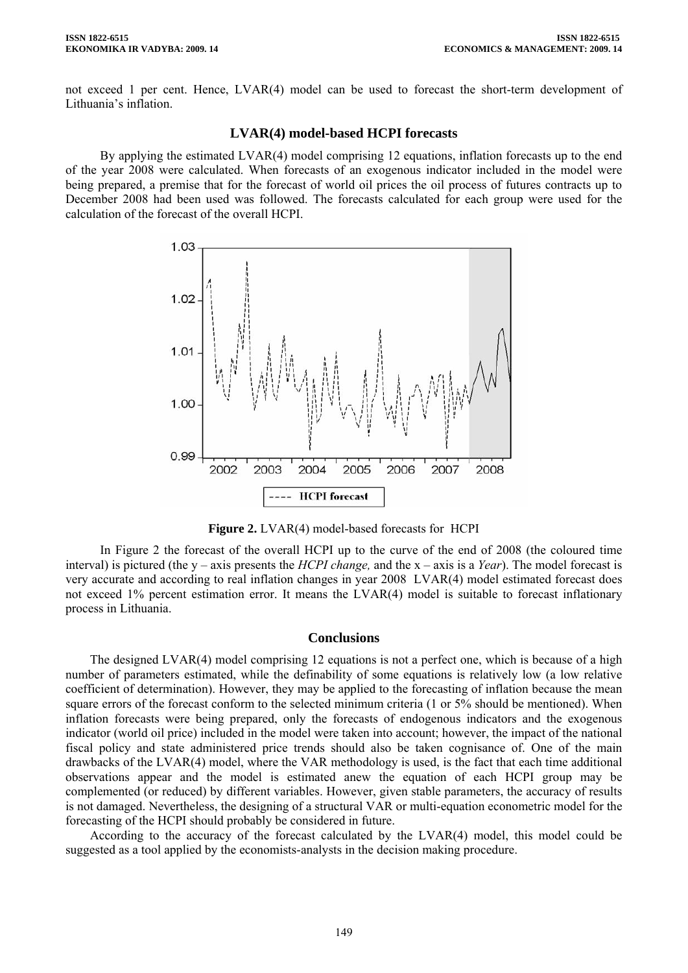not exceed 1 per cent. Hence, LVAR(4) model can be used to forecast the short-term development of Lithuania's inflation.

#### **LVAR(4) model-based HCPI forecasts**

By applying the estimated LVAR(4) model comprising 12 equations, inflation forecasts up to the end of the year 2008 were calculated. When forecasts of an exogenous indicator included in the model were being prepared, a premise that for the forecast of world oil prices the oil process of futures contracts up to December 2008 had been used was followed. The forecasts calculated for each group were used for the calculation of the forecast of the overall HCPI.



**Figure 2.** LVAR(4) model-based forecasts for HCPI

In Figure 2 the forecast of the overall HCPI up to the curve of the end of 2008 (the coloured time interval) is pictured (the y – axis presents the *HCPI change,* and the x – axis is a *Year*). The model forecast is very accurate and according to real inflation changes in year 2008 LVAR(4) model estimated forecast does not exceed 1% percent estimation error. It means the LVAR(4) model is suitable to forecast inflationary process in Lithuania.

## **Conclusions**

The designed LVAR(4) model comprising 12 equations is not a perfect one, which is because of a high number of parameters estimated, while the definability of some equations is relatively low (a low relative coefficient of determination). However, they may be applied to the forecasting of inflation because the mean square errors of the forecast conform to the selected minimum criteria (1 or 5% should be mentioned). When inflation forecasts were being prepared, only the forecasts of endogenous indicators and the exogenous indicator (world oil price) included in the model were taken into account; however, the impact of the national fiscal policy and state administered price trends should also be taken cognisance of. One of the main drawbacks of the LVAR(4) model, where the VAR methodology is used, is the fact that each time additional observations appear and the model is estimated anew the equation of each HCPI group may be complemented (or reduced) by different variables. However, given stable parameters, the accuracy of results is not damaged. Nevertheless, the designing of a structural VAR or multi-equation econometric model for the forecasting of the HCPI should probably be considered in future.

According to the accuracy of the forecast calculated by the LVAR(4) model, this model could be suggested as a tool applied by the economists-analysts in the decision making procedure.